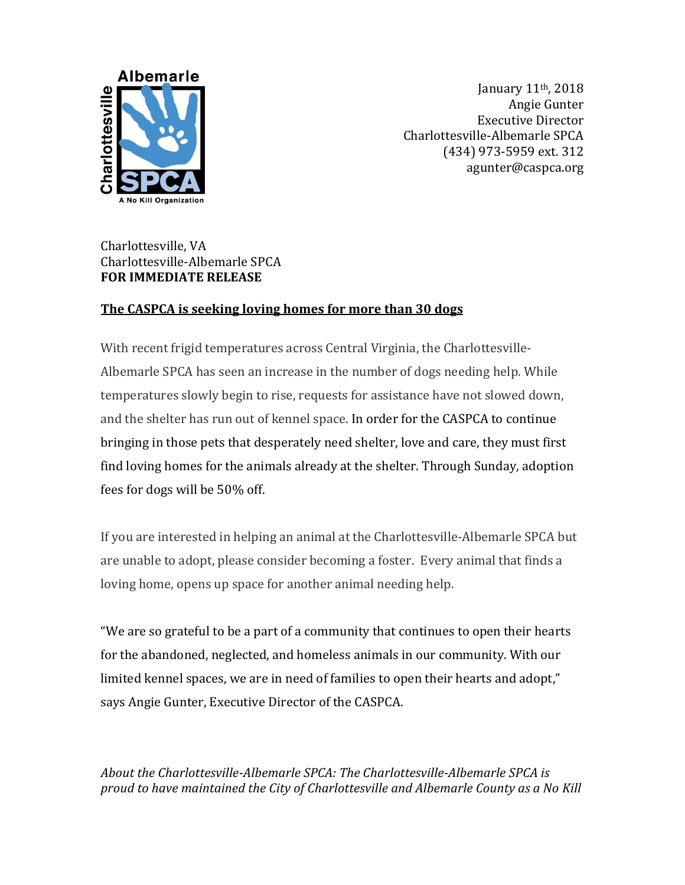

January 11th, 2018 Angie Gunter Executive Director Charlottesville-Albemarle SPCA (434) 973-5959 ext. 312 agunter@caspca.org

## Charlottesville, VA Charlottesville-Albemarle SPCA **FOR IMMEDIATE RELEASE**

## **The CASPCA is seeking loving homes for more than 30 dogs**

With recent frigid temperatures across Central Virginia, the Charlottesville-Albemarle SPCA has seen an increase in the number of dogs needing help. While temperatures slowly begin to rise, requests for assistance have not slowed down, and the shelter has run out of kennel space. In order for the CASPCA to continue bringing in those pets that desperately need shelter, love and care, they must first find loving homes for the animals already at the shelter. Through Sunday, adoption fees for dogs will be 50% off.

If you are interested in helping an animal at the Charlottesville-Albemarle SPCA but are unable to adopt, please consider becoming a foster. Every animal that finds a loving home, opens up space for another animal needing help.

"We are so grateful to be a part of a community that continues to open their hearts for the abandoned, neglected, and homeless animals in our community. With our limited kennel spaces, we are in need of families to open their hearts and adopt," says Angie Gunter, Executive Director of the CASPCA.

*About the Charlottesville-Albemarle SPCA: The Charlottesville-Albemarle SPCA is proud to have maintained the City of Charlottesville and Albemarle County as a No Kill*